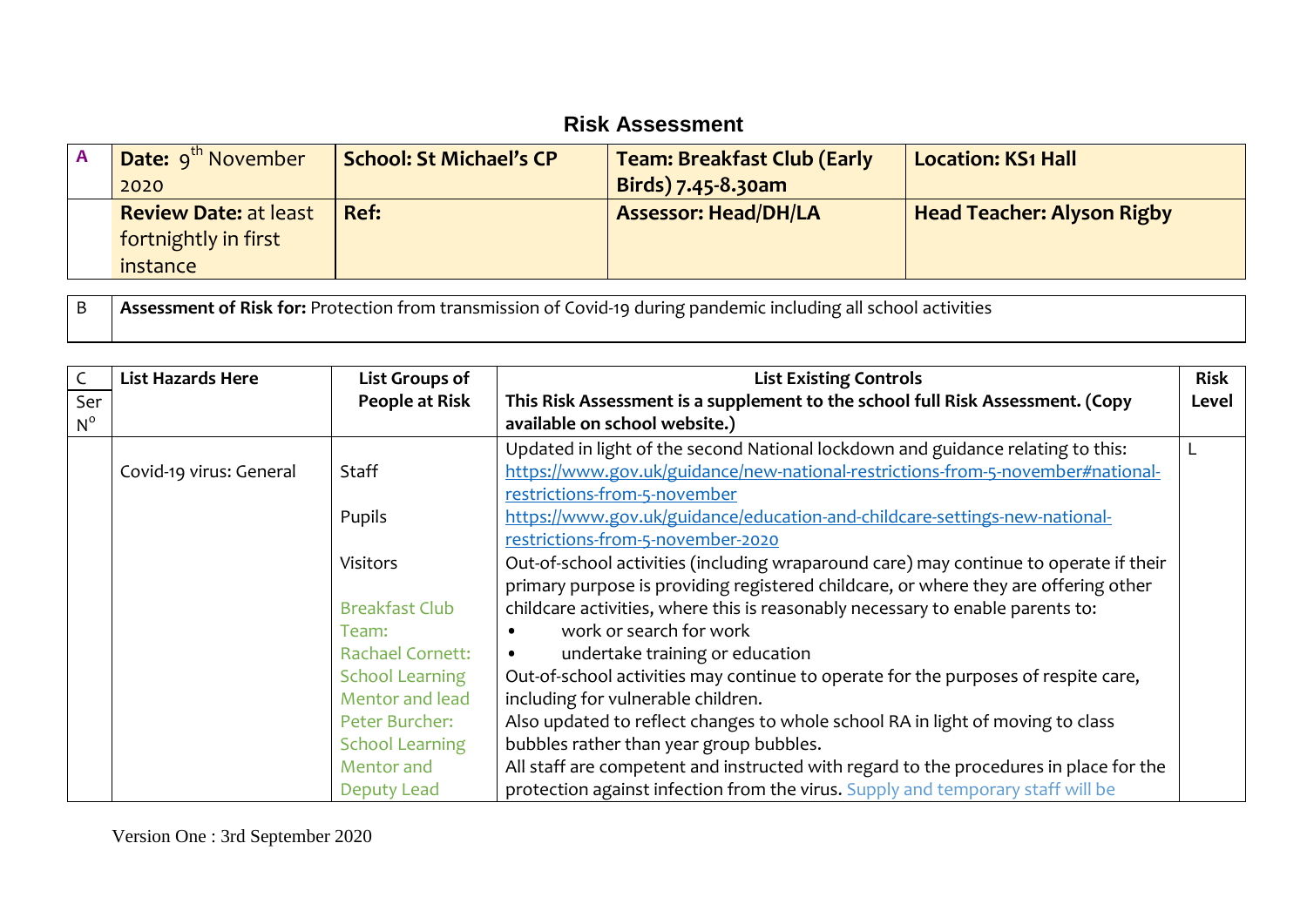## **Risk Assessment**

| <b>Date:</b> 9 <sup>th</sup> November<br>2020                    | <b>School: St Michael's CP</b> | <b>Team: Breakfast Club (Early</b><br>Birds) 7.45-8.30am | <b>Location: KS1 Hall</b>         |
|------------------------------------------------------------------|--------------------------------|----------------------------------------------------------|-----------------------------------|
| <b>Review Date: at least</b><br>fortnightly in first<br>instance | Ref:                           | <b>Assessor: Head/DH/LA</b>                              | <b>Head Teacher: Alyson Rigby</b> |

B **Assessment of Risk for:** Protection from transmission of Covid-19 during pandemic including all school activities

| $\mathsf{C}$ | <b>List Hazards Here</b> | List Groups of          | <b>List Existing Controls</b>                                                         | <b>Risk</b> |
|--------------|--------------------------|-------------------------|---------------------------------------------------------------------------------------|-------------|
| Ser          |                          | People at Risk          | This Risk Assessment is a supplement to the school full Risk Assessment. (Copy        | Level       |
| $N^{\circ}$  |                          |                         | available on school website.)                                                         |             |
|              |                          |                         | Updated in light of the second National lockdown and guidance relating to this:       |             |
|              | Covid-19 virus: General  | Staff                   | https://www.gov.uk/guidance/new-national-restrictions-from-5-november#national-       |             |
|              |                          |                         | restrictions-from-5-november                                                          |             |
|              |                          | Pupils                  | https://www.gov.uk/guidance/education-and-childcare-settings-new-national-            |             |
|              |                          |                         | restrictions-from-5-november-2020                                                     |             |
|              |                          | <b>Visitors</b>         | Out-of-school activities (including wraparound care) may continue to operate if their |             |
|              |                          |                         | primary purpose is providing registered childcare, or where they are offering other   |             |
|              |                          | <b>Breakfast Club</b>   | childcare activities, where this is reasonably necessary to enable parents to:        |             |
|              |                          | Team:                   | work or search for work                                                               |             |
|              |                          | <b>Rachael Cornett:</b> | undertake training or education<br>$\bullet$                                          |             |
|              |                          | <b>School Learning</b>  | Out-of-school activities may continue to operate for the purposes of respite care,    |             |
|              |                          | Mentor and lead         | including for vulnerable children.                                                    |             |
|              |                          | Peter Burcher:          | Also updated to reflect changes to whole school RA in light of moving to class        |             |
|              |                          | <b>School Learning</b>  | bubbles rather than year group bubbles.                                               |             |
|              |                          | Mentor and              | All staff are competent and instructed with regard to the procedures in place for the |             |
|              |                          | Deputy Lead             | protection against infection from the virus. Supply and temporary staff will be       |             |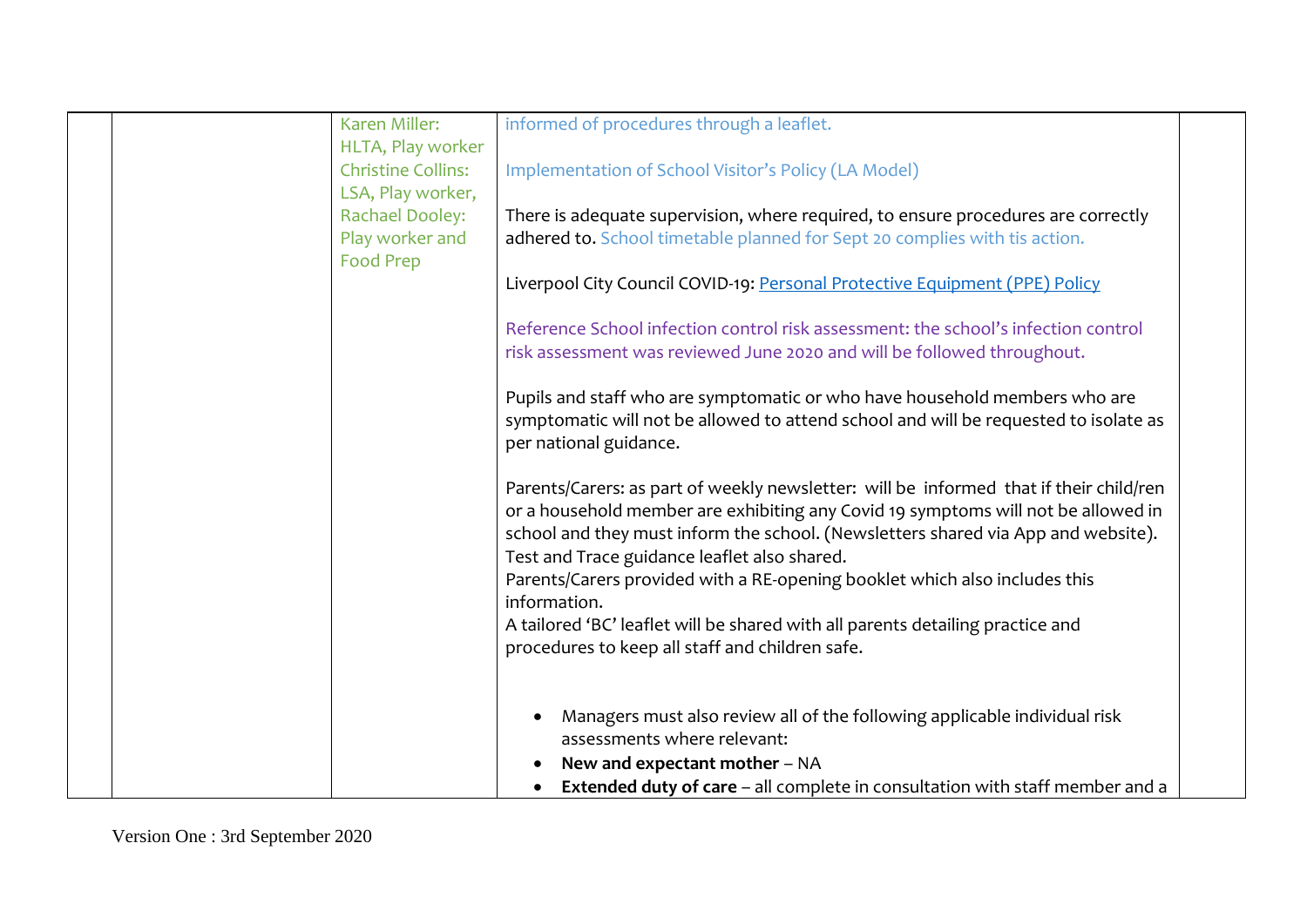|  | Karen Miller:                                  | informed of procedures through a leaflet.                                                                                  |  |
|--|------------------------------------------------|----------------------------------------------------------------------------------------------------------------------------|--|
|  | HLTA, Play worker                              |                                                                                                                            |  |
|  | <b>Christine Collins:</b><br>LSA, Play worker, | Implementation of School Visitor's Policy (LA Model)                                                                       |  |
|  | <b>Rachael Dooley:</b>                         | There is adequate supervision, where required, to ensure procedures are correctly                                          |  |
|  | Play worker and                                | adhered to. School timetable planned for Sept 20 complies with tis action.                                                 |  |
|  | <b>Food Prep</b>                               |                                                                                                                            |  |
|  |                                                | Liverpool City Council COVID-19: Personal Protective Equipment (PPE) Policy                                                |  |
|  |                                                | Reference School infection control risk assessment: the school's infection control                                         |  |
|  |                                                | risk assessment was reviewed June 2020 and will be followed throughout.                                                    |  |
|  |                                                | Pupils and staff who are symptomatic or who have household members who are                                                 |  |
|  |                                                | symptomatic will not be allowed to attend school and will be requested to isolate as                                       |  |
|  |                                                | per national guidance.                                                                                                     |  |
|  |                                                | Parents/Carers: as part of weekly newsletter: will be informed that if their child/ren                                     |  |
|  |                                                | or a household member are exhibiting any Covid 19 symptoms will not be allowed in                                          |  |
|  |                                                | school and they must inform the school. (Newsletters shared via App and website).                                          |  |
|  |                                                | Test and Trace guidance leaflet also shared.<br>Parents/Carers provided with a RE-opening booklet which also includes this |  |
|  |                                                | information.                                                                                                               |  |
|  |                                                | A tailored 'BC' leaflet will be shared with all parents detailing practice and                                             |  |
|  |                                                | procedures to keep all staff and children safe.                                                                            |  |
|  |                                                |                                                                                                                            |  |
|  |                                                | Managers must also review all of the following applicable individual risk                                                  |  |
|  |                                                | assessments where relevant:                                                                                                |  |
|  |                                                | New and expectant mother - NA                                                                                              |  |
|  |                                                | <b>Extended duty of care</b> – all complete in consultation with staff member and a                                        |  |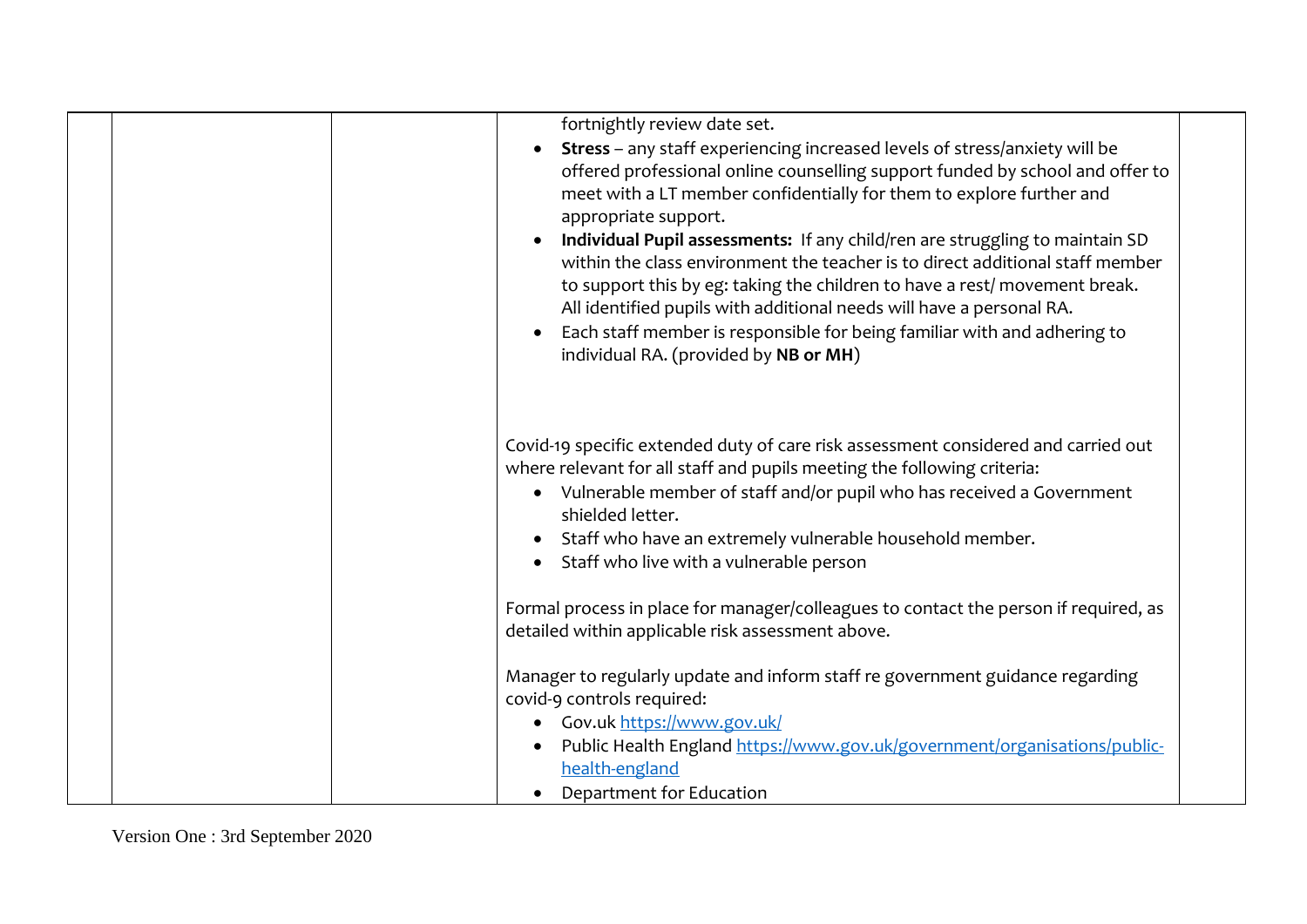| fortnightly review date set.<br>Stress - any staff experiencing increased levels of stress/anxiety will be<br>offered professional online counselling support funded by school and offer to<br>meet with a LT member confidentially for them to explore further and<br>appropriate support.<br>Individual Pupil assessments: If any child/ren are struggling to maintain SD<br>within the class environment the teacher is to direct additional staff member<br>to support this by eg: taking the children to have a rest/movement break.<br>All identified pupils with additional needs will have a personal RA.<br>Each staff member is responsible for being familiar with and adhering to<br>individual RA. (provided by NB or MH) |
|----------------------------------------------------------------------------------------------------------------------------------------------------------------------------------------------------------------------------------------------------------------------------------------------------------------------------------------------------------------------------------------------------------------------------------------------------------------------------------------------------------------------------------------------------------------------------------------------------------------------------------------------------------------------------------------------------------------------------------------|
| Covid-19 specific extended duty of care risk assessment considered and carried out<br>where relevant for all staff and pupils meeting the following criteria:<br>• Vulnerable member of staff and/or pupil who has received a Government<br>shielded letter.<br>Staff who have an extremely vulnerable household member.<br>Staff who live with a vulnerable person<br>$\bullet$                                                                                                                                                                                                                                                                                                                                                       |
| Formal process in place for manager/colleagues to contact the person if required, as<br>detailed within applicable risk assessment above.                                                                                                                                                                                                                                                                                                                                                                                                                                                                                                                                                                                              |
| Manager to regularly update and inform staff re government guidance regarding<br>covid-9 controls required:<br>• Gov.uk https://www.gov.uk/                                                                                                                                                                                                                                                                                                                                                                                                                                                                                                                                                                                            |
| Public Health England https://www.gov.uk/government/organisations/public-<br>health-england<br>Department for Education                                                                                                                                                                                                                                                                                                                                                                                                                                                                                                                                                                                                                |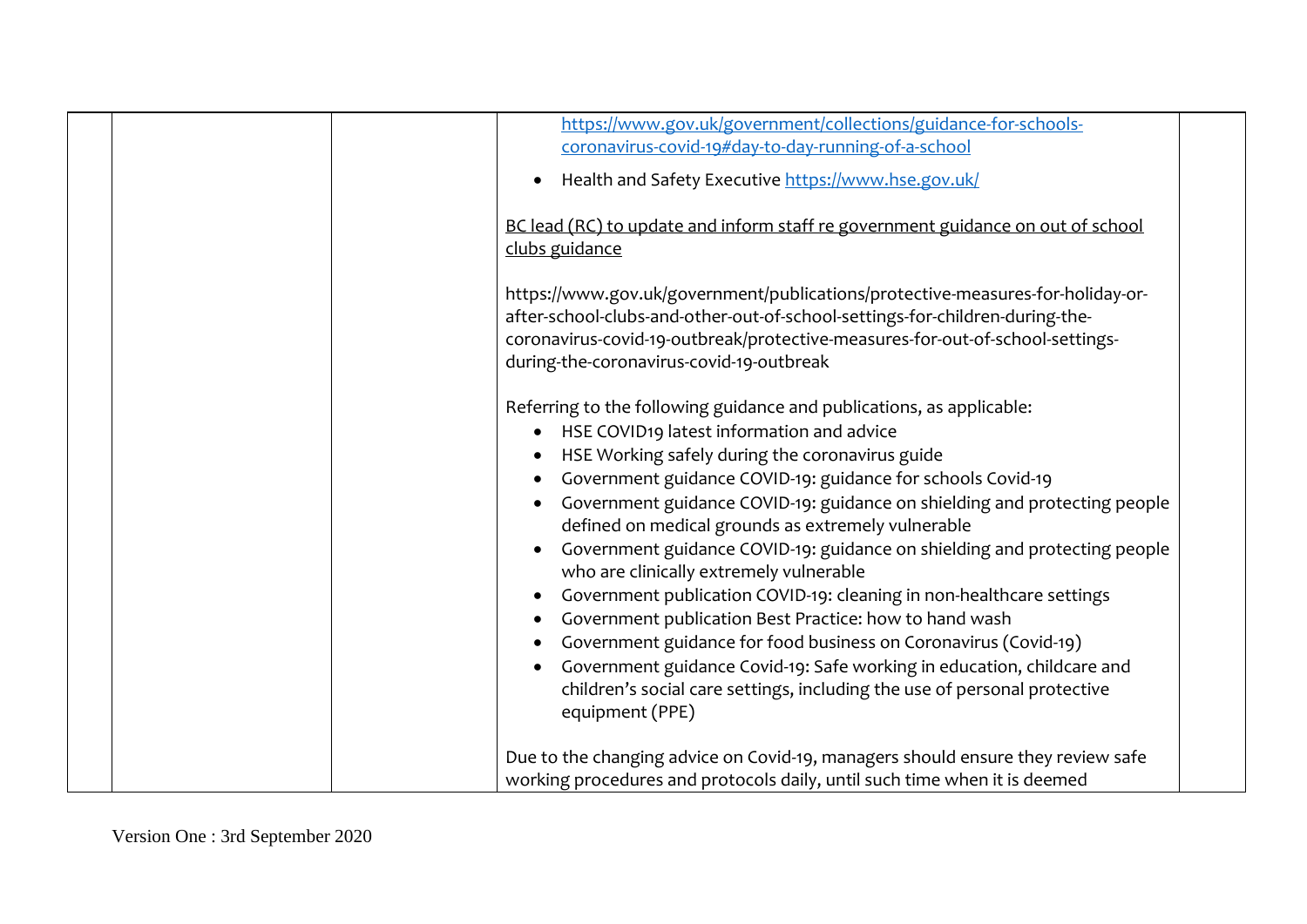|  | https://www.gov.uk/government/collections/guidance-for-schools-<br>coronavirus-covid-19#day-to-day-running-of-a-school                                                                                                                                                                                                                                                                                                                                                                                                                                                                                                                                                                                                                                                        |
|--|-------------------------------------------------------------------------------------------------------------------------------------------------------------------------------------------------------------------------------------------------------------------------------------------------------------------------------------------------------------------------------------------------------------------------------------------------------------------------------------------------------------------------------------------------------------------------------------------------------------------------------------------------------------------------------------------------------------------------------------------------------------------------------|
|  | Health and Safety Executive https://www.hse.gov.uk/                                                                                                                                                                                                                                                                                                                                                                                                                                                                                                                                                                                                                                                                                                                           |
|  |                                                                                                                                                                                                                                                                                                                                                                                                                                                                                                                                                                                                                                                                                                                                                                               |
|  | BC lead (RC) to update and inform staff re government guidance on out of school<br>clubs guidance                                                                                                                                                                                                                                                                                                                                                                                                                                                                                                                                                                                                                                                                             |
|  | https://www.gov.uk/government/publications/protective-measures-for-holiday-or-<br>after-school-clubs-and-other-out-of-school-settings-for-children-during-the-                                                                                                                                                                                                                                                                                                                                                                                                                                                                                                                                                                                                                |
|  | coronavirus-covid-19-outbreak/protective-measures-for-out-of-school-settings-<br>during-the-coronavirus-covid-19-outbreak                                                                                                                                                                                                                                                                                                                                                                                                                                                                                                                                                                                                                                                     |
|  | Referring to the following guidance and publications, as applicable:<br>HSE COVID19 latest information and advice<br>HSE Working safely during the coronavirus guide<br>Government guidance COVID-19: guidance for schools Covid-19<br>Government guidance COVID-19: guidance on shielding and protecting people<br>defined on medical grounds as extremely vulnerable<br>Government guidance COVID-19: guidance on shielding and protecting people<br>who are clinically extremely vulnerable<br>Government publication COVID-19: cleaning in non-healthcare settings<br>Government publication Best Practice: how to hand wash<br>Government guidance for food business on Coronavirus (Covid-19)<br>Government guidance Covid-19: Safe working in education, childcare and |
|  | children's social care settings, including the use of personal protective<br>equipment (PPE)                                                                                                                                                                                                                                                                                                                                                                                                                                                                                                                                                                                                                                                                                  |
|  | Due to the changing advice on Covid-19, managers should ensure they review safe<br>working procedures and protocols daily, until such time when it is deemed                                                                                                                                                                                                                                                                                                                                                                                                                                                                                                                                                                                                                  |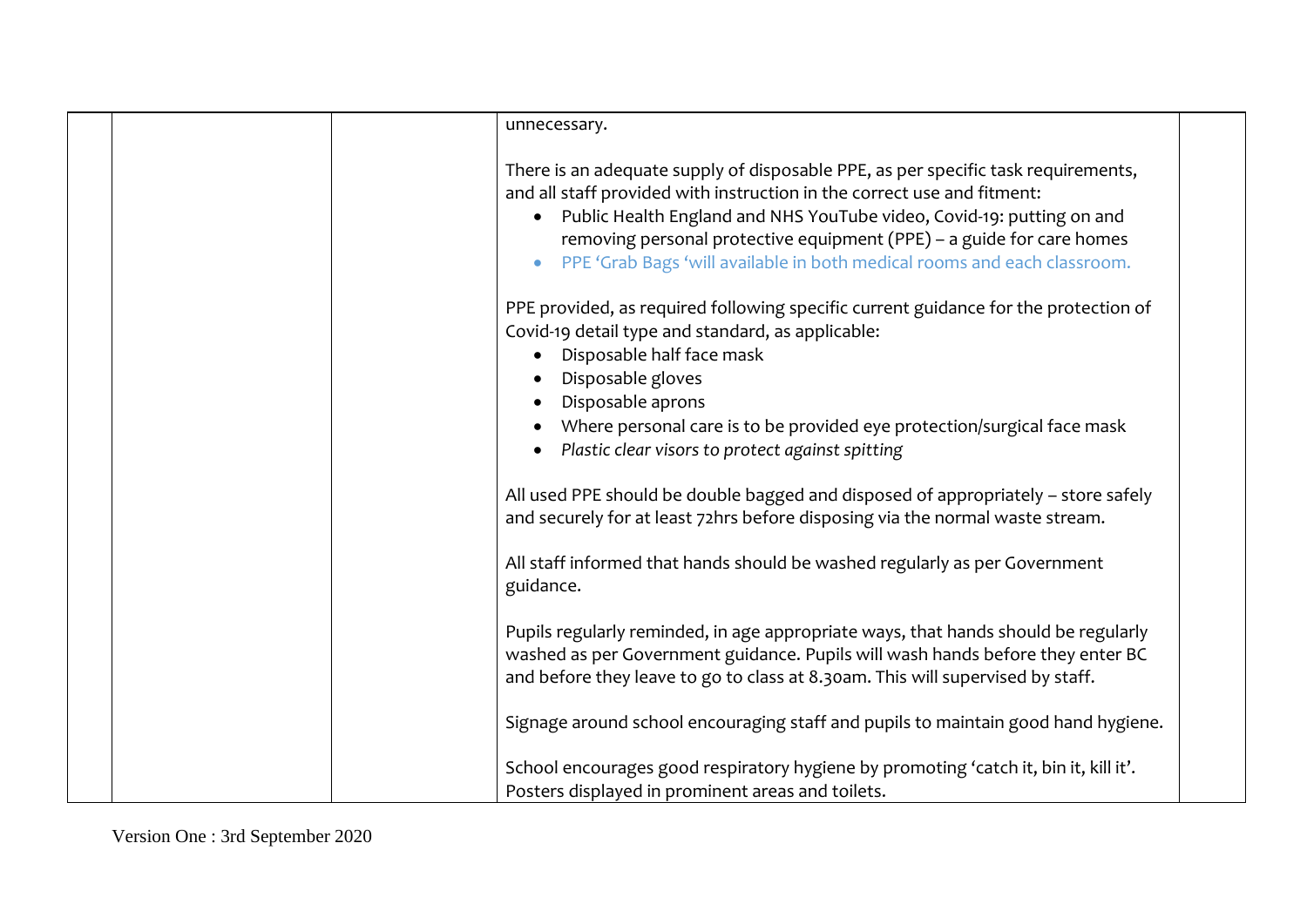| unnecessary.                                                                                                                                                                                                                                                                                                                                                                                 |
|----------------------------------------------------------------------------------------------------------------------------------------------------------------------------------------------------------------------------------------------------------------------------------------------------------------------------------------------------------------------------------------------|
| There is an adequate supply of disposable PPE, as per specific task requirements,<br>and all staff provided with instruction in the correct use and fitment:<br>• Public Health England and NHS YouTube video, Covid-19: putting on and<br>removing personal protective equipment (PPE) - a guide for care homes<br>PPE 'Grab Bags 'will available in both medical rooms and each classroom. |
| PPE provided, as required following specific current guidance for the protection of<br>Covid-19 detail type and standard, as applicable:<br>Disposable half face mask<br>$\bullet$<br>Disposable gloves<br>Disposable aprons<br>Where personal care is to be provided eye protection/surgical face mask<br>Plastic clear visors to protect against spitting                                  |
| All used PPE should be double bagged and disposed of appropriately - store safely<br>and securely for at least 72hrs before disposing via the normal waste stream.                                                                                                                                                                                                                           |
| All staff informed that hands should be washed regularly as per Government<br>guidance.                                                                                                                                                                                                                                                                                                      |
| Pupils regularly reminded, in age appropriate ways, that hands should be regularly<br>washed as per Government guidance. Pupils will wash hands before they enter BC<br>and before they leave to go to class at 8.30am. This will supervised by staff.                                                                                                                                       |
| Signage around school encouraging staff and pupils to maintain good hand hygiene.                                                                                                                                                                                                                                                                                                            |
| School encourages good respiratory hygiene by promoting 'catch it, bin it, kill it'.<br>Posters displayed in prominent areas and toilets.                                                                                                                                                                                                                                                    |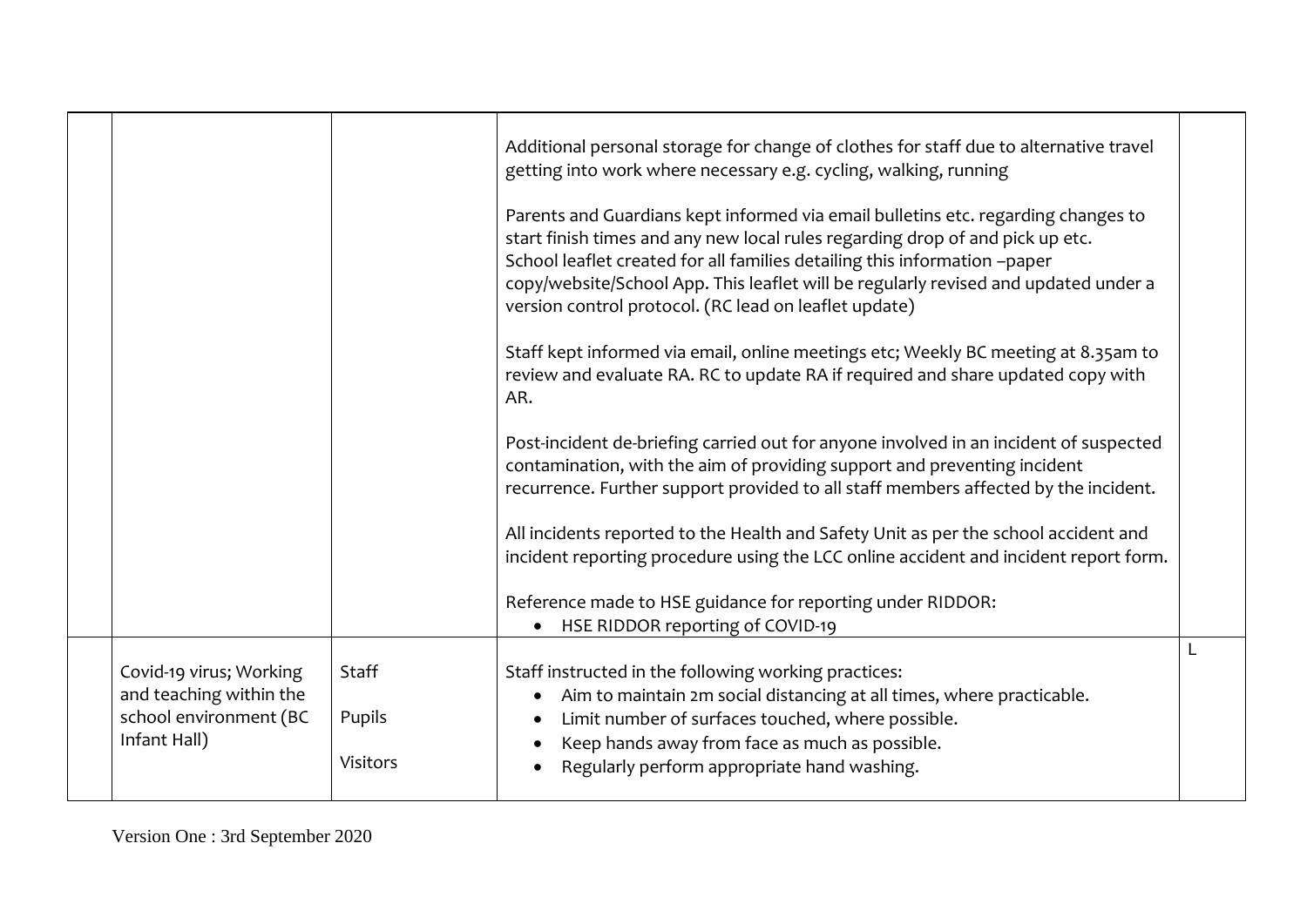|                                                                              |                 | Additional personal storage for change of clothes for staff due to alternative travel<br>getting into work where necessary e.g. cycling, walking, running<br>Parents and Guardians kept informed via email bulletins etc. regarding changes to<br>start finish times and any new local rules regarding drop of and pick up etc.<br>School leaflet created for all families detailing this information -paper<br>copy/website/School App. This leaflet will be regularly revised and updated under a<br>version control protocol. (RC lead on leaflet update) |  |
|------------------------------------------------------------------------------|-----------------|--------------------------------------------------------------------------------------------------------------------------------------------------------------------------------------------------------------------------------------------------------------------------------------------------------------------------------------------------------------------------------------------------------------------------------------------------------------------------------------------------------------------------------------------------------------|--|
|                                                                              |                 | Staff kept informed via email, online meetings etc; Weekly BC meeting at 8.35am to<br>review and evaluate RA. RC to update RA if required and share updated copy with<br>AR.                                                                                                                                                                                                                                                                                                                                                                                 |  |
|                                                                              |                 | Post-incident de-briefing carried out for anyone involved in an incident of suspected<br>contamination, with the aim of providing support and preventing incident<br>recurrence. Further support provided to all staff members affected by the incident.                                                                                                                                                                                                                                                                                                     |  |
|                                                                              |                 | All incidents reported to the Health and Safety Unit as per the school accident and<br>incident reporting procedure using the LCC online accident and incident report form.                                                                                                                                                                                                                                                                                                                                                                                  |  |
|                                                                              |                 | Reference made to HSE guidance for reporting under RIDDOR:<br>HSE RIDDOR reporting of COVID-19                                                                                                                                                                                                                                                                                                                                                                                                                                                               |  |
| Covid-19 virus; Working<br>and teaching within the<br>school environment (BC | Staff<br>Pupils | Staff instructed in the following working practices:<br>Aim to maintain 2m social distancing at all times, where practicable.<br>Limit number of surfaces touched, where possible.<br>$\bullet$                                                                                                                                                                                                                                                                                                                                                              |  |
| Infant Hall)                                                                 | Visitors        | Keep hands away from face as much as possible.<br>Regularly perform appropriate hand washing.                                                                                                                                                                                                                                                                                                                                                                                                                                                                |  |

Version One : 3rd September 2020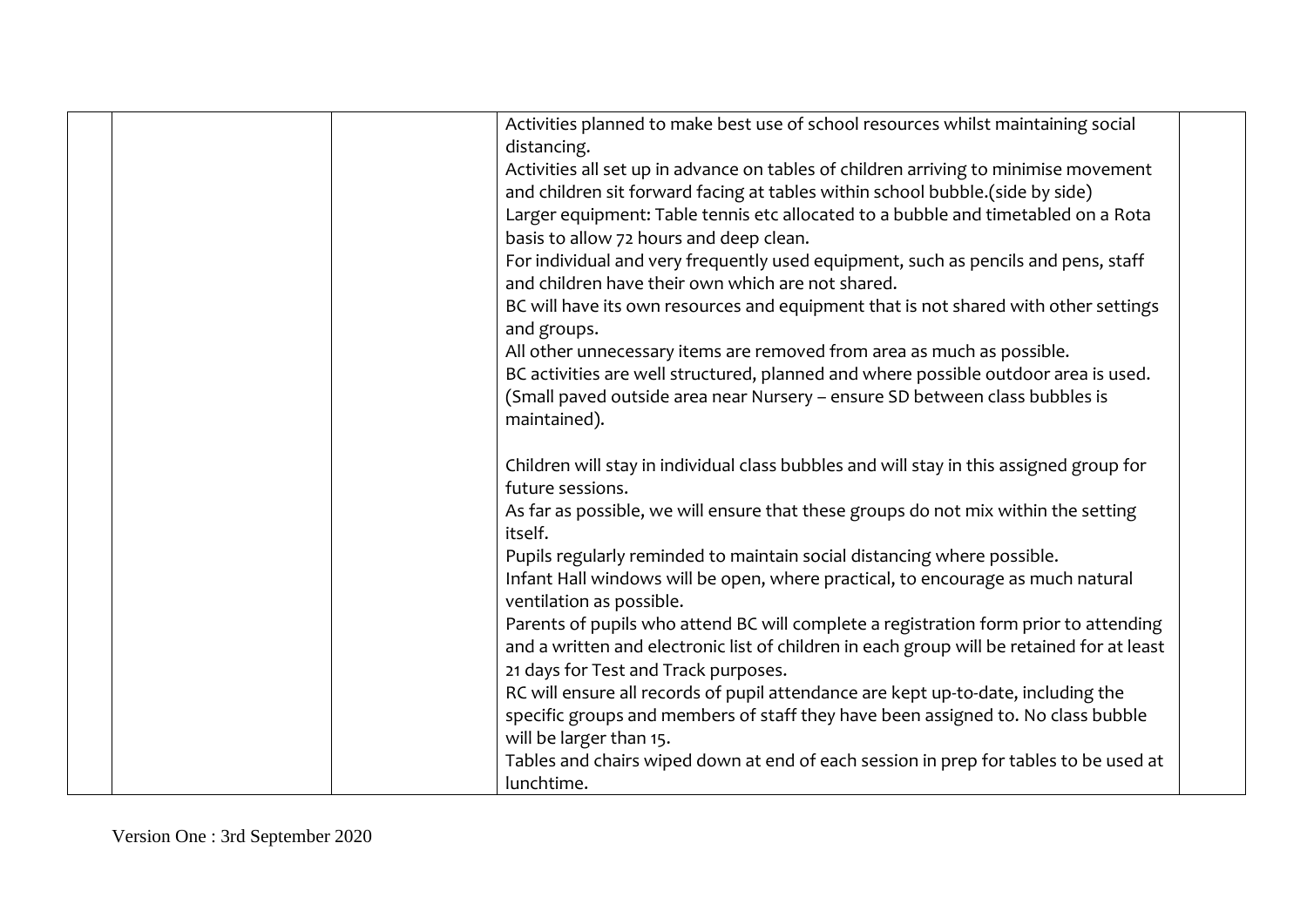|  | Activities planned to make best use of school resources whilst maintaining social         |  |
|--|-------------------------------------------------------------------------------------------|--|
|  | distancing.                                                                               |  |
|  | Activities all set up in advance on tables of children arriving to minimise movement      |  |
|  | and children sit forward facing at tables within school bubble.(side by side)             |  |
|  | Larger equipment: Table tennis etc allocated to a bubble and timetabled on a Rota         |  |
|  | basis to allow 72 hours and deep clean.                                                   |  |
|  | For individual and very frequently used equipment, such as pencils and pens, staff        |  |
|  | and children have their own which are not shared.                                         |  |
|  | BC will have its own resources and equipment that is not shared with other settings       |  |
|  | and groups.                                                                               |  |
|  | All other unnecessary items are removed from area as much as possible.                    |  |
|  | BC activities are well structured, planned and where possible outdoor area is used.       |  |
|  | (Small paved outside area near Nursery - ensure SD between class bubbles is               |  |
|  | maintained).                                                                              |  |
|  |                                                                                           |  |
|  | Children will stay in individual class bubbles and will stay in this assigned group for   |  |
|  | future sessions.                                                                          |  |
|  | As far as possible, we will ensure that these groups do not mix within the setting        |  |
|  | itself.                                                                                   |  |
|  | Pupils regularly reminded to maintain social distancing where possible.                   |  |
|  | Infant Hall windows will be open, where practical, to encourage as much natural           |  |
|  | ventilation as possible.                                                                  |  |
|  | Parents of pupils who attend BC will complete a registration form prior to attending      |  |
|  | and a written and electronic list of children in each group will be retained for at least |  |
|  | 21 days for Test and Track purposes.                                                      |  |
|  | RC will ensure all records of pupil attendance are kept up-to-date, including the         |  |
|  | specific groups and members of staff they have been assigned to. No class bubble          |  |
|  | will be larger than 15.                                                                   |  |
|  | Tables and chairs wiped down at end of each session in prep for tables to be used at      |  |
|  | lunchtime.                                                                                |  |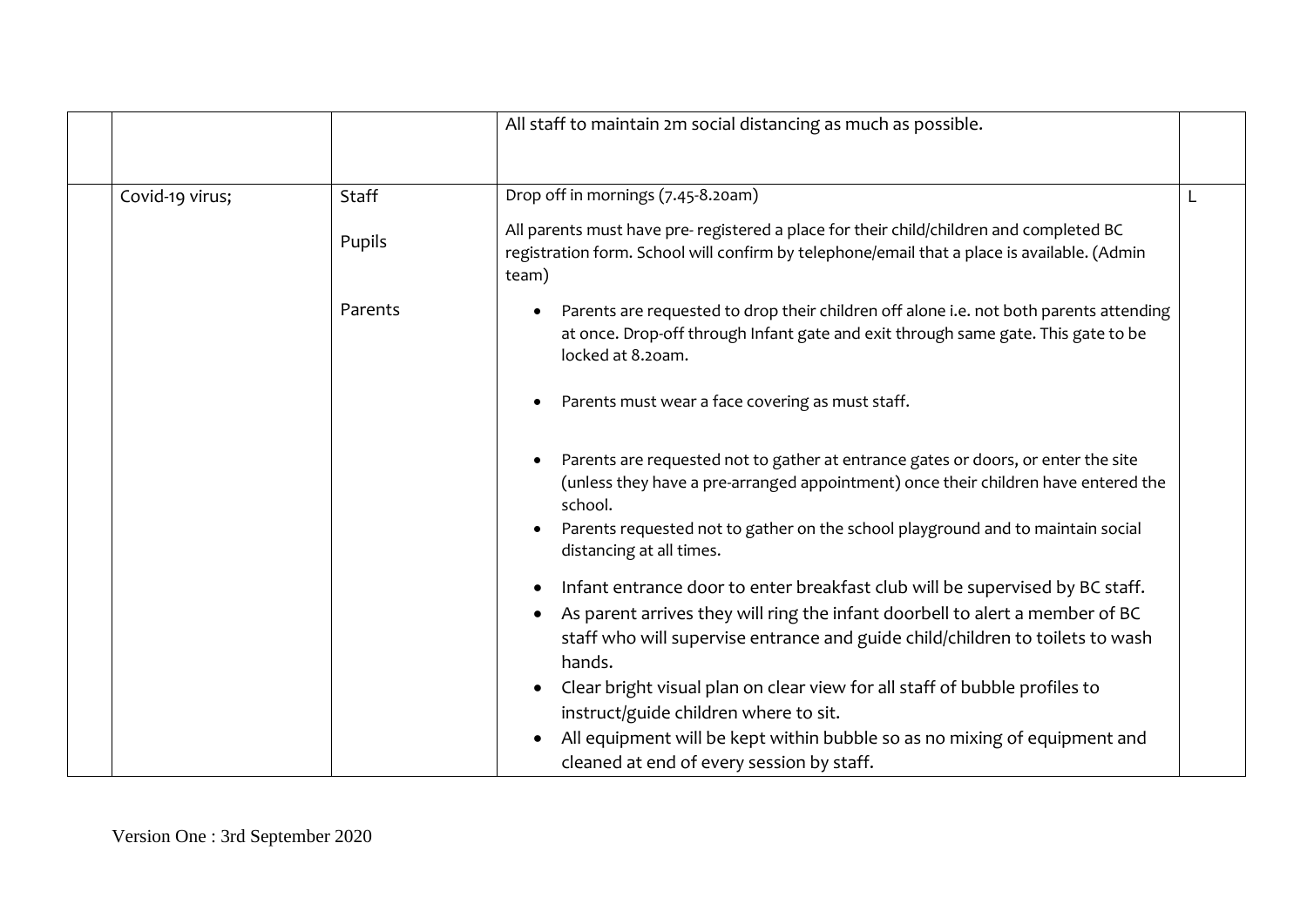|                 |              | All staff to maintain 2m social distancing as much as possible.                                                                                                                                                                                                                                                                       |  |
|-----------------|--------------|---------------------------------------------------------------------------------------------------------------------------------------------------------------------------------------------------------------------------------------------------------------------------------------------------------------------------------------|--|
| Covid-19 virus; | <b>Staff</b> | Drop off in mornings (7.45-8.20am)                                                                                                                                                                                                                                                                                                    |  |
|                 | Pupils       | All parents must have pre- registered a place for their child/children and completed BC<br>registration form. School will confirm by telephone/email that a place is available. (Admin<br>team)                                                                                                                                       |  |
|                 | Parents      | Parents are requested to drop their children off alone i.e. not both parents attending<br>at once. Drop-off through Infant gate and exit through same gate. This gate to be<br>locked at 8.20am.                                                                                                                                      |  |
|                 |              | Parents must wear a face covering as must staff.                                                                                                                                                                                                                                                                                      |  |
|                 |              | Parents are requested not to gather at entrance gates or doors, or enter the site<br>(unless they have a pre-arranged appointment) once their children have entered the<br>school.<br>Parents requested not to gather on the school playground and to maintain social<br>distancing at all times.                                     |  |
|                 |              | Infant entrance door to enter breakfast club will be supervised by BC staff.<br>As parent arrives they will ring the infant doorbell to alert a member of BC<br>staff who will supervise entrance and guide child/children to toilets to wash<br>hands.<br>Clear bright visual plan on clear view for all staff of bubble profiles to |  |
|                 |              | instruct/guide children where to sit.<br>All equipment will be kept within bubble so as no mixing of equipment and<br>cleaned at end of every session by staff.                                                                                                                                                                       |  |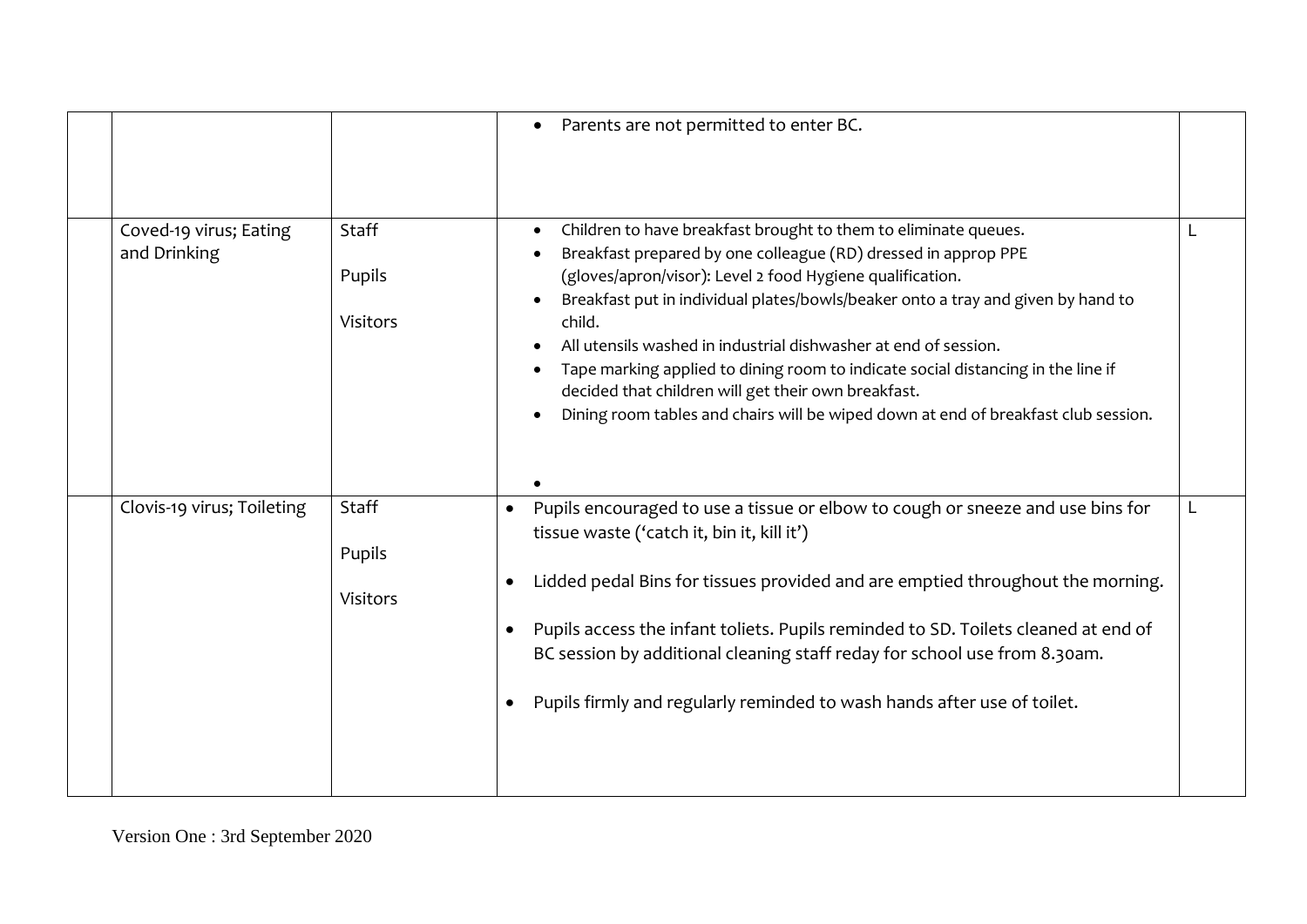|                                        |                             | Parents are not permitted to enter BC.                                                                                                                                                                                                                                                                                                                                                                                                                                                                                                                                                           |  |
|----------------------------------------|-----------------------------|--------------------------------------------------------------------------------------------------------------------------------------------------------------------------------------------------------------------------------------------------------------------------------------------------------------------------------------------------------------------------------------------------------------------------------------------------------------------------------------------------------------------------------------------------------------------------------------------------|--|
| Coved-19 virus; Eating<br>and Drinking | Staff<br>Pupils<br>Visitors | Children to have breakfast brought to them to eliminate queues.<br>Breakfast prepared by one colleague (RD) dressed in approp PPE<br>(gloves/apron/visor): Level 2 food Hygiene qualification.<br>Breakfast put in individual plates/bowls/beaker onto a tray and given by hand to<br>child.<br>All utensils washed in industrial dishwasher at end of session.<br>Tape marking applied to dining room to indicate social distancing in the line if<br>decided that children will get their own breakfast.<br>Dining room tables and chairs will be wiped down at end of breakfast club session. |  |
| Clovis-19 virus; Toileting             | Staff<br>Pupils<br>Visitors | Pupils encouraged to use a tissue or elbow to cough or sneeze and use bins for<br>tissue waste ('catch it, bin it, kill it')<br>Lidded pedal Bins for tissues provided and are emptied throughout the morning.<br>Pupils access the infant toliets. Pupils reminded to SD. Toilets cleaned at end of<br>BC session by additional cleaning staff reday for school use from 8.30am.<br>Pupils firmly and regularly reminded to wash hands after use of toilet.                                                                                                                                     |  |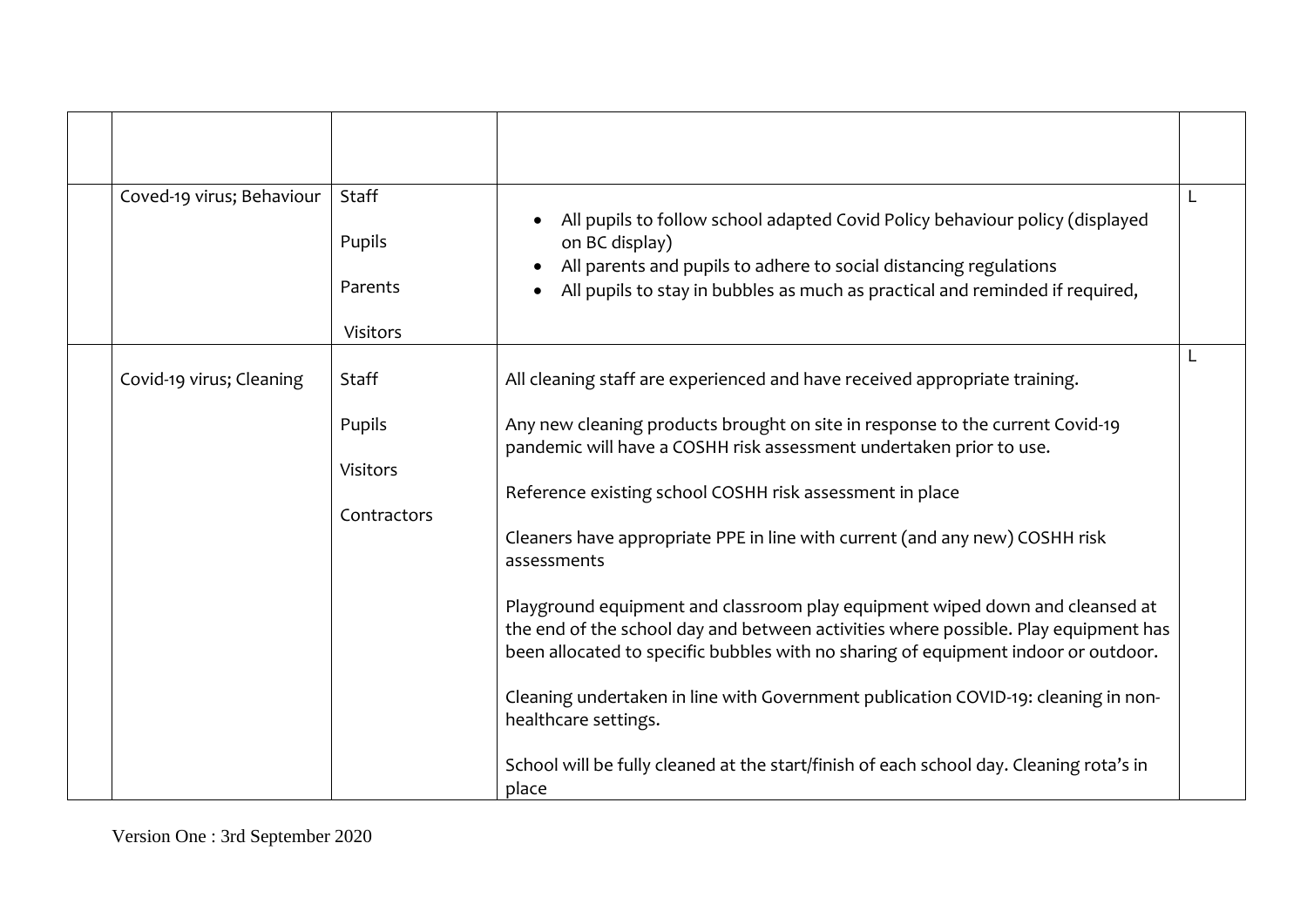| Coved-19 virus; Behaviour | Staff<br>Pupils<br>Parents<br><b>Visitors</b>     | All pupils to follow school adapted Covid Policy behaviour policy (displayed<br>on BC display)<br>All parents and pupils to adhere to social distancing regulations<br>All pupils to stay in bubbles as much as practical and reminded if required,                                                                                                                                                                                                                                                                                                                                                                                                                                                                                                                                                                                                                         |  |
|---------------------------|---------------------------------------------------|-----------------------------------------------------------------------------------------------------------------------------------------------------------------------------------------------------------------------------------------------------------------------------------------------------------------------------------------------------------------------------------------------------------------------------------------------------------------------------------------------------------------------------------------------------------------------------------------------------------------------------------------------------------------------------------------------------------------------------------------------------------------------------------------------------------------------------------------------------------------------------|--|
| Covid-19 virus; Cleaning  | Staff<br>Pupils<br><b>Visitors</b><br>Contractors | All cleaning staff are experienced and have received appropriate training.<br>Any new cleaning products brought on site in response to the current Covid-19<br>pandemic will have a COSHH risk assessment undertaken prior to use.<br>Reference existing school COSHH risk assessment in place<br>Cleaners have appropriate PPE in line with current (and any new) COSHH risk<br>assessments<br>Playground equipment and classroom play equipment wiped down and cleansed at<br>the end of the school day and between activities where possible. Play equipment has<br>been allocated to specific bubbles with no sharing of equipment indoor or outdoor.<br>Cleaning undertaken in line with Government publication COVID-19: cleaning in non-<br>healthcare settings.<br>School will be fully cleaned at the start/finish of each school day. Cleaning rota's in<br>place |  |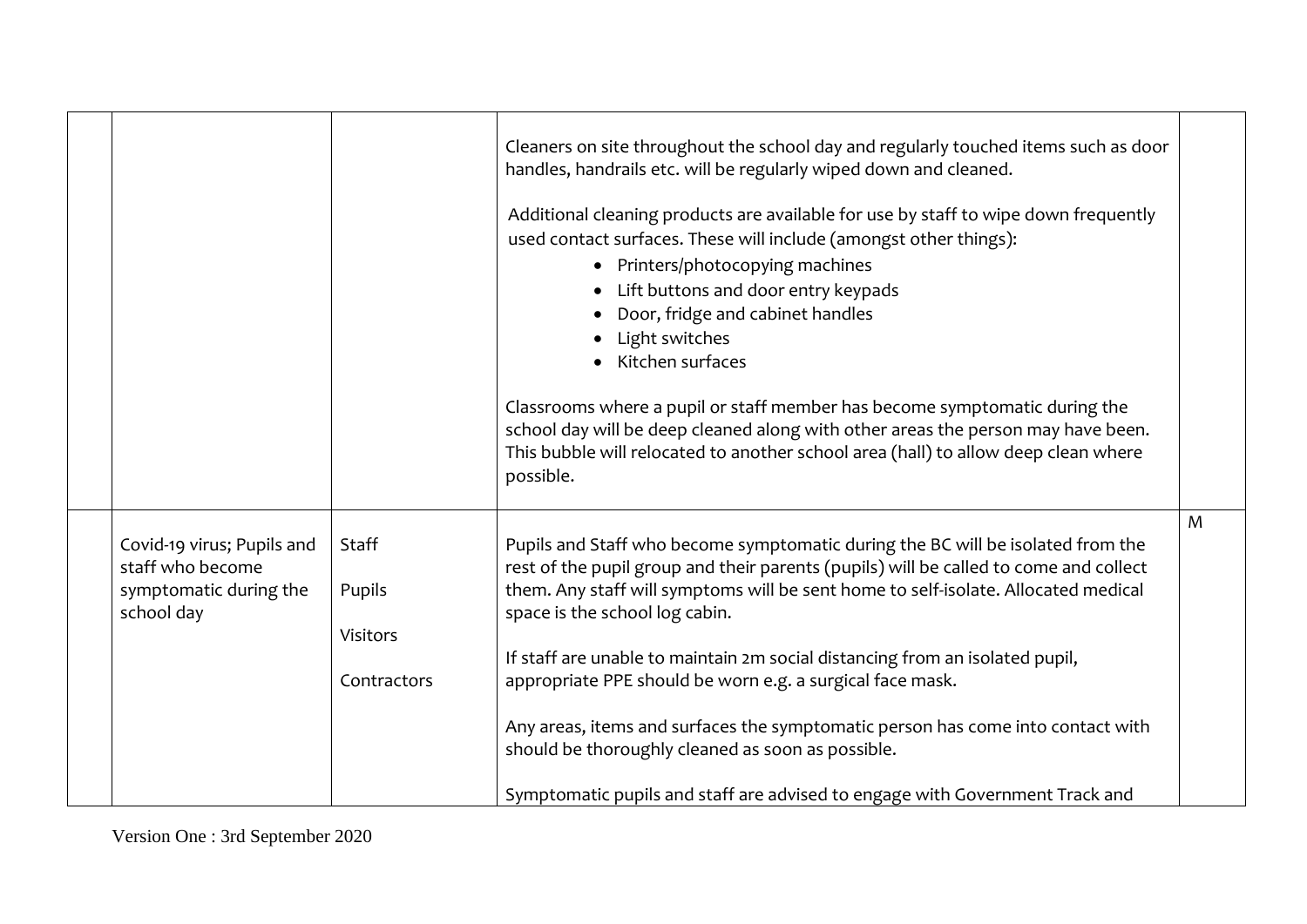|                                                                                        |                 | Cleaners on site throughout the school day and regularly touched items such as door<br>handles, handrails etc. will be regularly wiped down and cleaned.                                                                                                                                         |   |
|----------------------------------------------------------------------------------------|-----------------|--------------------------------------------------------------------------------------------------------------------------------------------------------------------------------------------------------------------------------------------------------------------------------------------------|---|
|                                                                                        |                 | Additional cleaning products are available for use by staff to wipe down frequently<br>used contact surfaces. These will include (amongst other things):                                                                                                                                         |   |
|                                                                                        |                 | Printers/photocopying machines<br>$\bullet$                                                                                                                                                                                                                                                      |   |
|                                                                                        |                 | Lift buttons and door entry keypads                                                                                                                                                                                                                                                              |   |
|                                                                                        |                 | Door, fridge and cabinet handles                                                                                                                                                                                                                                                                 |   |
|                                                                                        |                 | Light switches<br>$\bullet$                                                                                                                                                                                                                                                                      |   |
|                                                                                        |                 | Kitchen surfaces                                                                                                                                                                                                                                                                                 |   |
|                                                                                        |                 | Classrooms where a pupil or staff member has become symptomatic during the<br>school day will be deep cleaned along with other areas the person may have been.<br>This bubble will relocated to another school area (hall) to allow deep clean where<br>possible.                                |   |
|                                                                                        |                 |                                                                                                                                                                                                                                                                                                  | M |
| Covid-19 virus; Pupils and<br>staff who become<br>symptomatic during the<br>school day | Staff<br>Pupils | Pupils and Staff who become symptomatic during the BC will be isolated from the<br>rest of the pupil group and their parents (pupils) will be called to come and collect<br>them. Any staff will symptoms will be sent home to self-isolate. Allocated medical<br>space is the school log cabin. |   |
|                                                                                        | Visitors        | If staff are unable to maintain 2m social distancing from an isolated pupil,                                                                                                                                                                                                                     |   |
|                                                                                        | Contractors     | appropriate PPE should be worn e.g. a surgical face mask.                                                                                                                                                                                                                                        |   |
|                                                                                        |                 | Any areas, items and surfaces the symptomatic person has come into contact with<br>should be thoroughly cleaned as soon as possible.                                                                                                                                                             |   |
|                                                                                        |                 | Symptomatic pupils and staff are advised to engage with Government Track and                                                                                                                                                                                                                     |   |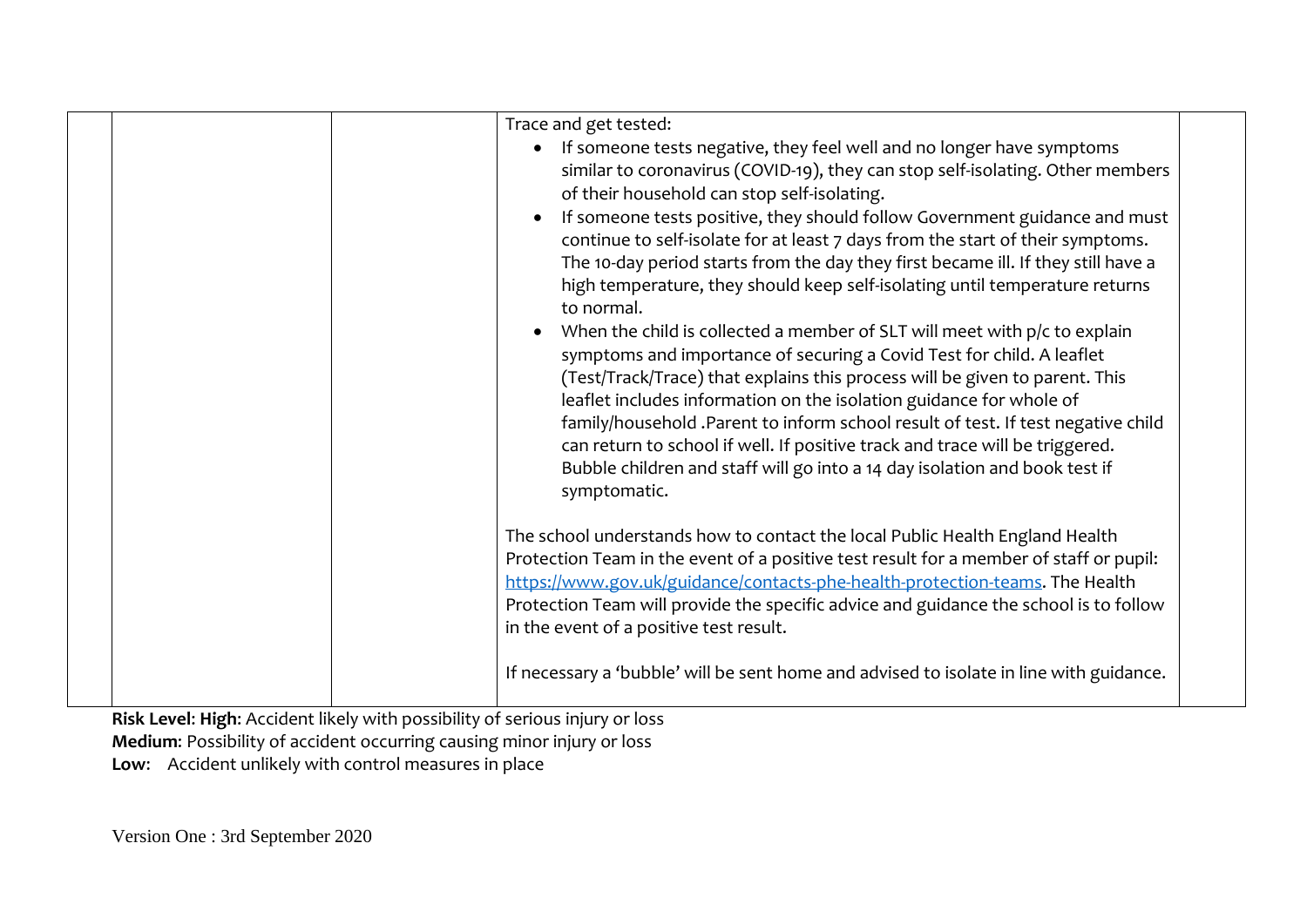| Trace and get tested:<br>If someone tests negative, they feel well and no longer have symptoms<br>similar to coronavirus (COVID-19), they can stop self-isolating. Other members<br>of their household can stop self-isolating.<br>If someone tests positive, they should follow Government guidance and must<br>continue to self-isolate for at least 7 days from the start of their symptoms.<br>The 10-day period starts from the day they first became ill. If they still have a<br>high temperature, they should keep self-isolating until temperature returns<br>to normal.<br>When the child is collected a member of SLT will meet with $p/c$ to explain<br>symptoms and importance of securing a Covid Test for child. A leaflet<br>(Test/Track/Trace) that explains this process will be given to parent. This<br>leaflet includes information on the isolation guidance for whole of<br>family/household .Parent to inform school result of test. If test negative child<br>can return to school if well. If positive track and trace will be triggered.<br>Bubble children and staff will go into a 14 day isolation and book test if<br>symptomatic. |
|-------------------------------------------------------------------------------------------------------------------------------------------------------------------------------------------------------------------------------------------------------------------------------------------------------------------------------------------------------------------------------------------------------------------------------------------------------------------------------------------------------------------------------------------------------------------------------------------------------------------------------------------------------------------------------------------------------------------------------------------------------------------------------------------------------------------------------------------------------------------------------------------------------------------------------------------------------------------------------------------------------------------------------------------------------------------------------------------------------------------------------------------------------------------|
| The school understands how to contact the local Public Health England Health<br>Protection Team in the event of a positive test result for a member of staff or pupil:<br>https://www.gov.uk/guidance/contacts-phe-health-protection-teams. The Health<br>Protection Team will provide the specific advice and guidance the school is to follow<br>in the event of a positive test result.                                                                                                                                                                                                                                                                                                                                                                                                                                                                                                                                                                                                                                                                                                                                                                        |
| If necessary a 'bubble' will be sent home and advised to isolate in line with guidance.                                                                                                                                                                                                                                                                                                                                                                                                                                                                                                                                                                                                                                                                                                                                                                                                                                                                                                                                                                                                                                                                           |

**Risk Level**: **High**: Accident likely with possibility of serious injury or loss **Medium**: Possibility of accident occurring causing minor injury or loss **Low**: Accident unlikely with control measures in place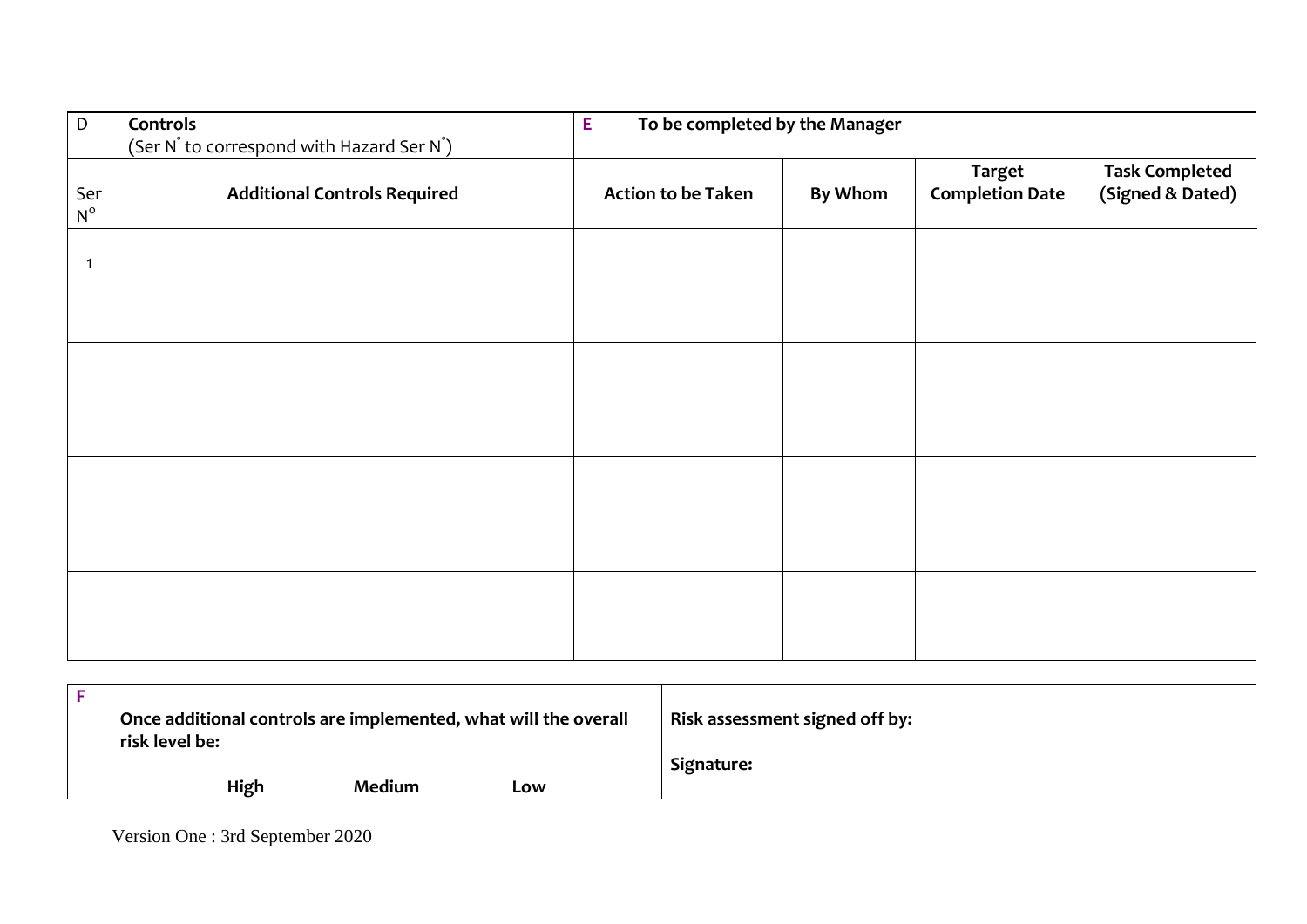| D                  | Controls<br>(Ser N° to correspond with Hazard Ser N°) | To be completed by the Manager<br>E |                |                                         |                                           |
|--------------------|-------------------------------------------------------|-------------------------------------|----------------|-----------------------------------------|-------------------------------------------|
| Ser<br>$N^{\rm o}$ | <b>Additional Controls Required</b>                   | <b>Action to be Taken</b>           | <b>By Whom</b> | <b>Target</b><br><b>Completion Date</b> | <b>Task Completed</b><br>(Signed & Dated) |
| $\mathbf 1$        |                                                       |                                     |                |                                         |                                           |
|                    |                                                       |                                     |                |                                         |                                           |
|                    |                                                       |                                     |                |                                         |                                           |
|                    |                                                       |                                     |                |                                         |                                           |
|                    |                                                       |                                     |                |                                         |                                           |
|                    |                                                       |                                     |                |                                         |                                           |
|                    |                                                       |                                     |                |                                         |                                           |
|                    |                                                       |                                     |                |                                         |                                           |
|                    |                                                       |                                     |                |                                         |                                           |
|                    |                                                       |                                     |                |                                         |                                           |

| Once additional controls are implemented, what will the overall<br>risk level be: |      |        | Risk assessment signed off by: |            |
|-----------------------------------------------------------------------------------|------|--------|--------------------------------|------------|
|                                                                                   |      |        |                                | Signature: |
|                                                                                   | High | Medium | Low                            |            |

Version One : 3rd September 2020